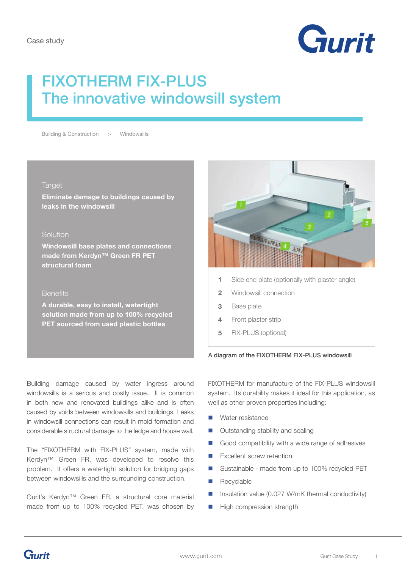

# FIXOTHERM FIX-PLUS The innovative windowsill system

Building & Construction > Windowsills

#### Target

**Eliminate damage to buildings caused by leaks in the windowsill** 

#### Solution

**Windowsill base plates and connections made from Kerdyn™ Green FR PET structural foam** 

## **Benefits**

**A durable, easy to install, watertight solution made from up to 100% recycled PET sourced from used plastic bottles**



- Side end plate (optionally with plaster angle) **1**
- Windowsill connection **2**
- Base plate **3**
- Front plaster strip **4**
- FIX-PLUS (optional) **5**

#### A diagram of the FIXOTHERM FIX-PLUS windowsill

Building damage caused by water ingress around windowsills is a serious and costly issue. It is common in both new and renovated buildings alike and is often caused by voids between windowsills and buildings. Leaks in windowsill connections can result in mold formation and considerable structural damage to the ledge and house wall.

The "FIXOTHERM with FIX-PLUS" system, made with Kerdyn™ Green FR, was developed to resolve this problem. It offers a watertight solution for bridging gaps between windowsills and the surrounding construction.

Gurit's Kerdyn™ Green FR, a structural core material made from up to 100% recycled PET, was chosen by FIXOTHERM for manufacture of the FIX-PLUS windowsill system. Its durability makes it ideal for this application, as well as other proven properties including:

- Water resistance
- Outstanding stability and sealing
- Good compatibility with a wide range of adhesives
- **Excellent screw retention**
- Sustainable made from up to 100% recycled PET
- Recyclable
- Insulation value (0.027 W/mK thermal conductivity)
- High compression strength